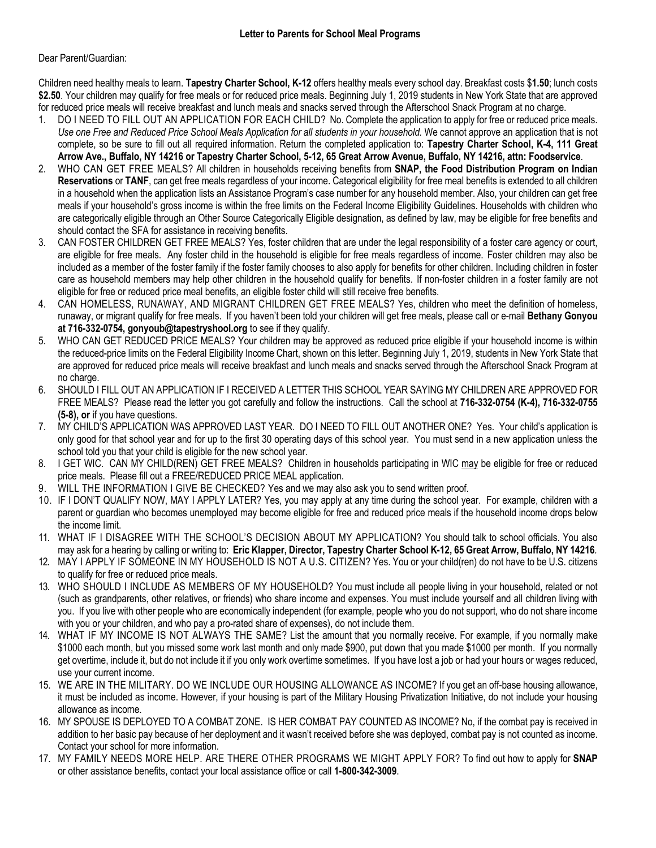## Dear Parent/Guardian:

Children need healthy meals to learn. **Tapestry Charter School, K-12** offers healthy meals every school day. Breakfast costs \$**1.50**; lunch costs **\$2.50**. Your children may qualify for free meals or for reduced price meals. Beginning July 1, 2019 students in New York State that are approved for reduced price meals will receive breakfast and lunch meals and snacks served through the Afterschool Snack Program at no charge.

- 1. DO I NEED TO FILL OUT AN APPLICATION FOR EACH CHILD? No. Complete the application to apply for free or reduced price meals. *Use one Free and Reduced Price School Meals Application for all students in your household.* We cannot approve an application that is not complete, so be sure to fill out all required information. Return the completed application to: **Tapestry Charter School, K-4, 111 Great Arrow Ave., Buffalo, NY 14216 or Tapestry Charter School, 5-12, 65 Great Arrow Avenue, Buffalo, NY 14216, attn: Foodservice**.
- 2. WHO CAN GET FREE MEALS? All children in households receiving benefits from **SNAP, the Food Distribution Program on Indian Reservations** or **TANF**, can get free meals regardless of your income. Categorical eligibility for free meal benefits is extended to all children in a household when the application lists an Assistance Program's case number for any household member. Also, your children can get free meals if your household's gross income is within the free limits on the Federal Income Eligibility Guidelines. Households with children who are categorically eligible through an Other Source Categorically Eligible designation, as defined by law, may be eligible for free benefits and should contact the SFA for assistance in receiving benefits.
- 3. CAN FOSTER CHILDREN GET FREE MEALS? Yes, foster children that are under the legal responsibility of a foster care agency or court, are eligible for free meals. Any foster child in the household is eligible for free meals regardless of income. Foster children may also be included as a member of the foster family if the foster family chooses to also apply for benefits for other children. Including children in foster care as household members may help other children in the household qualify for benefits. If non-foster children in a foster family are not eligible for free or reduced price meal benefits, an eligible foster child will still receive free benefits.
- 4. CAN HOMELESS, RUNAWAY, AND MIGRANT CHILDREN GET FREE MEALS? Yes, children who meet the definition of homeless, runaway, or migrant qualify for free meals. If you haven't been told your children will get free meals, please call or e-mail **Bethany Gonyou at 716-332-0754, gonyoub@tapestryshool.org** to see if they qualify.
- 5. WHO CAN GET REDUCED PRICE MEALS? Your children may be approved as reduced price eligible if your household income is within the reduced-price limits on the Federal Eligibility Income Chart, shown on this letter. Beginning July 1, 2019, students in New York State that are approved for reduced price meals will receive breakfast and lunch meals and snacks served through the Afterschool Snack Program at no charge.
- 6. SHOULD I FILL OUT AN APPLICATION IF I RECEIVED A LETTER THIS SCHOOL YEAR SAYING MY CHILDREN ARE APPROVED FOR FREE MEALS? Please read the letter you got carefully and follow the instructions. Call the school at **716-332-0754 (K-4), 716-332-0755 (5-8), or** if you have questions.
- 7. MY CHILD'S APPLICATION WAS APPROVED LAST YEAR. DO I NEED TO FILL OUT ANOTHER ONE? Yes. Your child's application is only good for that school year and for up to the first 30 operating days of this school year. You must send in a new application unless the school told you that your child is eligible for the new school year.
- 8. I GET WIC. CAN MY CHILD(REN) GET FREE MEALS? Children in households participating in WIC may be eligible for free or reduced price meals. Please fill out a FREE/REDUCED PRICE MEAL application.
- 9. WILL THE INFORMATION I GIVE BE CHECKED? Yes and we may also ask you to send written proof.
- 10. IF I DON'T QUALIFY NOW, MAY I APPLY LATER? Yes, you may apply at any time during the school year. For example, children with a parent or guardian who becomes unemployed may become eligible for free and reduced price meals if the household income drops below the income limit.
- 11. WHAT IF I DISAGREE WITH THE SCHOOL'S DECISION ABOUT MY APPLICATION? You should talk to school officials. You also may ask for a hearing by calling or writing to: **Eric Klapper, Director, Tapestry Charter School K-12, 65 Great Arrow, Buffalo, NY 14216***.*
- 12. MAY I APPLY IF SOMEONE IN MY HOUSEHOLD IS NOT A U.S. CITIZEN? Yes. You or your child(ren) do not have to be U.S. citizens to qualify for free or reduced price meals.
- 13. WHO SHOULD I INCLUDE AS MEMBERS OF MY HOUSEHOLD? You must include all people living in your household, related or not (such as grandparents, other relatives, or friends) who share income and expenses. You must include yourself and all children living with you. If you live with other people who are economically independent (for example, people who you do not support, who do not share income with you or your children, and who pay a pro-rated share of expenses), do not include them.
- 14. WHAT IF MY INCOME IS NOT ALWAYS THE SAME? List the amount that you normally receive. For example, if you normally make \$1000 each month, but you missed some work last month and only made \$900, put down that you made \$1000 per month. If you normally get overtime, include it, but do not include it if you only work overtime sometimes. If you have lost a job or had your hours or wages reduced, use your current income.
- 15. WE ARE IN THE MILITARY. DO WE INCLUDE OUR HOUSING ALLOWANCE AS INCOME? If you get an off-base housing allowance, it must be included as income. However, if your housing is part of the Military Housing Privatization Initiative, do not include your housing allowance as income.
- 16. MY SPOUSE IS DEPLOYED TO A COMBAT ZONE. IS HER COMBAT PAY COUNTED AS INCOME? No, if the combat pay is received in addition to her basic pay because of her deployment and it wasn't received before she was deployed, combat pay is not counted as income. Contact your school for more information.
- 17. MY FAMILY NEEDS MORE HELP. ARE THERE OTHER PROGRAMS WE MIGHT APPLY FOR? To find out how to apply for **SNAP** or other assistance benefits, contact your local assistance office or call **1-800-342-3009**.